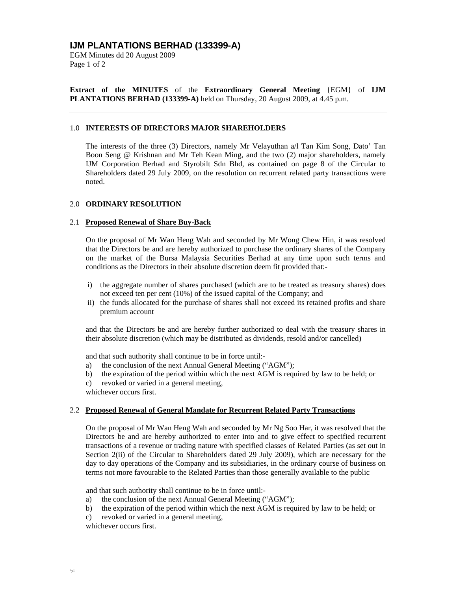# **IJM PLANTATIONS BERHAD (133399-A)**

EGM Minutes dd 20 August 2009 Page 1 of 2

**Extract of the MINUTES** of the **Extraordinary General Meeting** {EGM} of **IJM PLANTATIONS BERHAD (133399-A)** held on Thursday, 20 August 2009, at 4.45 p.m.

### 1.0 **INTERESTS OF DIRECTORS MAJOR SHAREHOLDERS**

The interests of the three (3) Directors, namely Mr Velayuthan a/l Tan Kim Song, Dato' Tan Boon Seng @ Krishnan and Mr Teh Kean Ming, and the two (2) major shareholders, namely IJM Corporation Berhad and Styrobilt Sdn Bhd, as contained on page 8 of the Circular to Shareholders dated 29 July 2009, on the resolution on recurrent related party transactions were noted.

#### 2.0 **ORDINARY RESOLUTION**

#### 2.1 **Proposed Renewal of Share Buy-Back**

On the proposal of Mr Wan Heng Wah and seconded by Mr Wong Chew Hin, it was resolved that the Directors be and are hereby authorized to purchase the ordinary shares of the Company on the market of the Bursa Malaysia Securities Berhad at any time upon such terms and conditions as the Directors in their absolute discretion deem fit provided that:-

- i) the aggregate number of shares purchased (which are to be treated as treasury shares) does not exceed ten per cent (10%) of the issued capital of the Company; and
- ii) the funds allocated for the purchase of shares shall not exceed its retained profits and share premium account

and that the Directors be and are hereby further authorized to deal with the treasury shares in their absolute discretion (which may be distributed as dividends, resold and/or cancelled)

and that such authority shall continue to be in force until:-

- a) the conclusion of the next Annual General Meeting ("AGM");
- b) the expiration of the period within which the next AGM is required by law to be held; or
- c) revoked or varied in a general meeting,

whichever occurs first.

## 2.2 **Proposed Renewal of General Mandate for Recurrent Related Party Transactions**

On the proposal of Mr Wan Heng Wah and seconded by Mr Ng Soo Har, it was resolved that the Directors be and are hereby authorized to enter into and to give effect to specified recurrent transactions of a revenue or trading nature with specified classes of Related Parties (as set out in Section 2(ii) of the Circular to Shareholders dated 29 July 2009), which are necessary for the day to day operations of the Company and its subsidiaries, in the ordinary course of business on terms not more favourable to the Related Parties than those generally available to the public

and that such authority shall continue to be in force until:-

- a) the conclusion of the next Annual General Meeting ("AGM");
- b) the expiration of the period within which the next AGM is required by law to be held; or
- c) revoked or varied in a general meeting,

whichever occurs first.